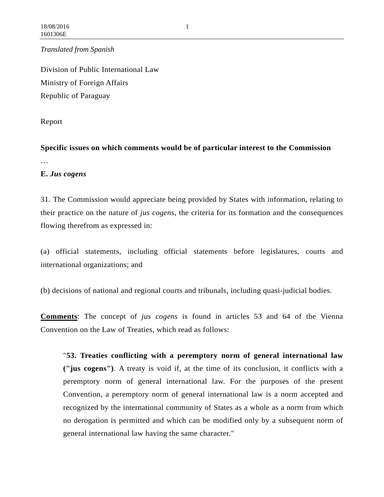*Translated from Spanish*

Division of Public International Law Ministry of Foreign Affairs Republic of Paraguay

Report

**Specific issues on which comments would be of particular interest to the Commission** …

## **E.** *Jus cogens*

31. The Commission would appreciate being provided by States with information, relating to their practice on the nature of *jus cogen*s, the criteria for its formation and the consequences flowing therefrom as expressed in:

(a) official statements, including official statements before legislatures, courts and international organizations; and

(b) decisions of national and regional courts and tribunals, including quasi-judicial bodies.

**Comments**: The concept of *jus cogens* is found in articles 53 and 64 of the Vienna Convention on the Law of Treaties, which read as follows:

"**53. Treaties conflicting with a peremptory norm of general international law ("jus cogens")**. A treaty is void if, at the time of its conclusion, it conflicts with a peremptory norm of general international law. For the purposes of the present Convention, a peremptory norm of general international law is a norm accepted and recognized by the international community of States as a whole as a norm from which no derogation is permitted and which can be modified only by a subsequent norm of general international law having the same character."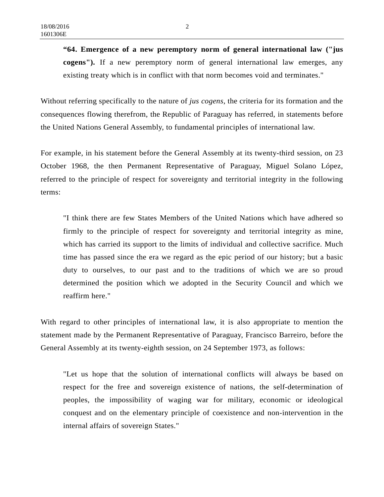**"64. Emergence of a new peremptory norm of general international law ("jus cogens").** If a new peremptory norm of general international law emerges, any existing treaty which is in conflict with that norm becomes void and terminates."

Without referring specifically to the nature of *jus cogens*, the criteria for its formation and the consequences flowing therefrom, the Republic of Paraguay has referred, in statements before the United Nations General Assembly, to fundamental principles of international law.

For example, in his statement before the General Assembly at its twenty-third session, on 23 October 1968, the then Permanent Representative of Paraguay, Miguel Solano López, referred to the principle of respect for sovereignty and territorial integrity in the following terms:

"I think there are few States Members of the United Nations which have adhered so firmly to the principle of respect for sovereignty and territorial integrity as mine, which has carried its support to the limits of individual and collective sacrifice. Much time has passed since the era we regard as the epic period of our history; but a basic duty to ourselves, to our past and to the traditions of which we are so proud determined the position which we adopted in the Security Council and which we reaffirm here."

With regard to other principles of international law, it is also appropriate to mention the statement made by the Permanent Representative of Paraguay, Francisco Barreiro, before the General Assembly at its twenty-eighth session, on 24 September 1973, as follows:

"Let us hope that the solution of international conflicts will always be based on respect for the free and sovereign existence of nations, the self-determination of peoples, the impossibility of waging war for military, economic or ideological conquest and on the elementary principle of coexistence and non-intervention in the internal affairs of sovereign States."